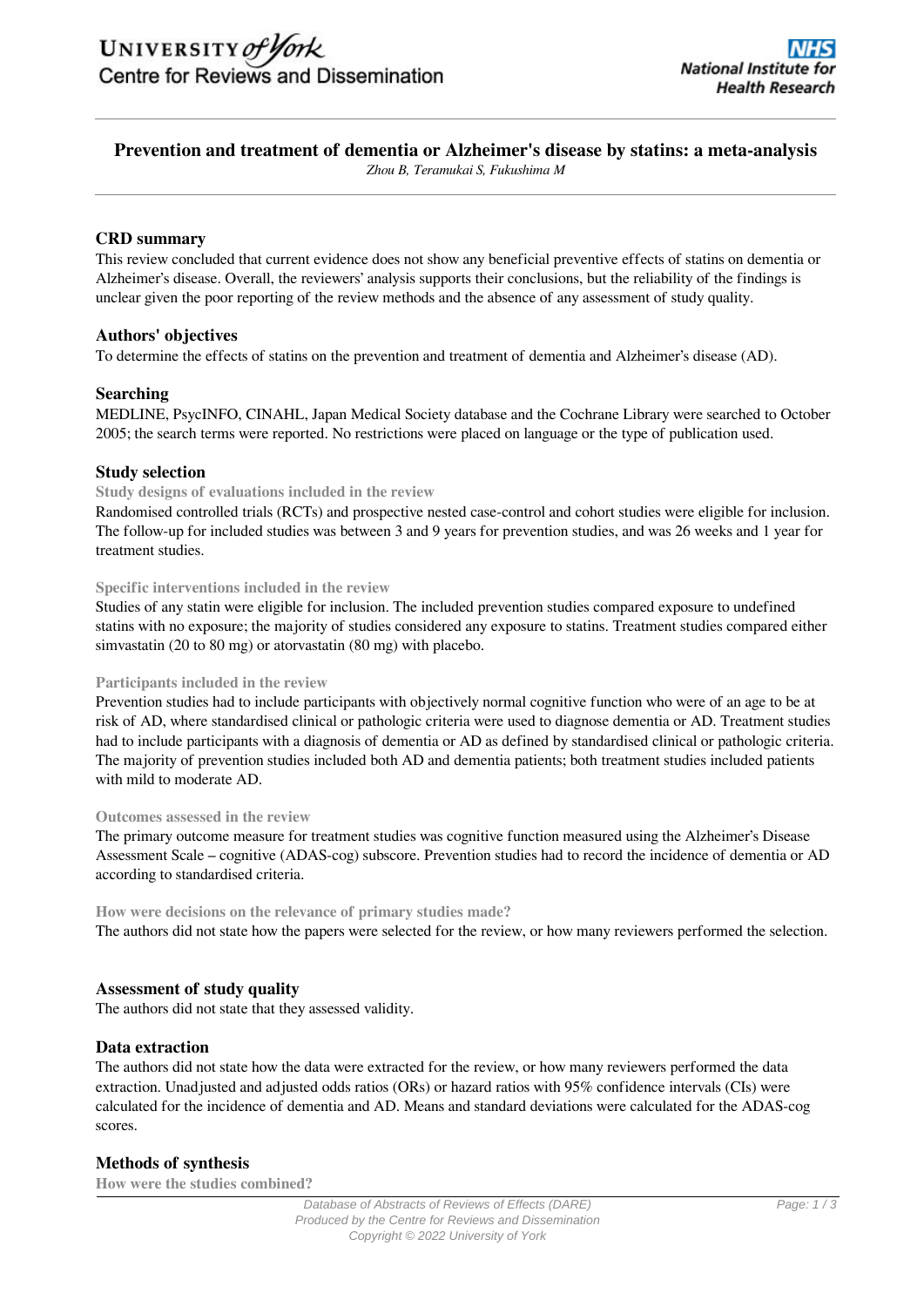# **Prevention and treatment of dementia or Alzheimer's disease by statins: a meta-analysis**

*Zhou B, Teramukai S, Fukushima M*

### **CRD summary**

This review concluded that current evidence does not show any beneficial preventive effects of statins on dementia or Alzheimer's disease. Overall, the reviewers' analysis supports their conclusions, but the reliability of the findings is unclear given the poor reporting of the review methods and the absence of any assessment of study quality.

#### **Authors' objectives**

To determine the effects of statins on the prevention and treatment of dementia and Alzheimer's disease (AD).

#### **Searching**

MEDLINE, PsycINFO, CINAHL, Japan Medical Society database and the Cochrane Library were searched to October 2005; the search terms were reported. No restrictions were placed on language or the type of publication used.

#### **Study selection**

#### **Study designs of evaluations included in the review**

Randomised controlled trials (RCTs) and prospective nested case-control and cohort studies were eligible for inclusion. The follow-up for included studies was between 3 and 9 years for prevention studies, and was 26 weeks and 1 year for treatment studies.

#### **Specific interventions included in the review**

Studies of any statin were eligible for inclusion. The included prevention studies compared exposure to undefined statins with no exposure; the majority of studies considered any exposure to statins. Treatment studies compared either simvastatin (20 to 80 mg) or atorvastatin (80 mg) with placebo.

#### **Participants included in the review**

Prevention studies had to include participants with objectively normal cognitive function who were of an age to be at risk of AD, where standardised clinical or pathologic criteria were used to diagnose dementia or AD. Treatment studies had to include participants with a diagnosis of dementia or AD as defined by standardised clinical or pathologic criteria. The majority of prevention studies included both AD and dementia patients; both treatment studies included patients with mild to moderate AD.

#### **Outcomes assessed in the review**

The primary outcome measure for treatment studies was cognitive function measured using the Alzheimer's Disease Assessment Scale – cognitive (ADAS-cog) subscore. Prevention studies had to record the incidence of dementia or AD according to standardised criteria.

**How were decisions on the relevance of primary studies made?** The authors did not state how the papers were selected for the review, or how many reviewers performed the selection.

## **Assessment of study quality**

The authors did not state that they assessed validity.

#### **Data extraction**

The authors did not state how the data were extracted for the review, or how many reviewers performed the data extraction. Unadjusted and adjusted odds ratios (ORs) or hazard ratios with 95% confidence intervals (CIs) were calculated for the incidence of dementia and AD. Means and standard deviations were calculated for the ADAS-cog scores.

#### **Methods of synthesis**

**How were the studies combined?**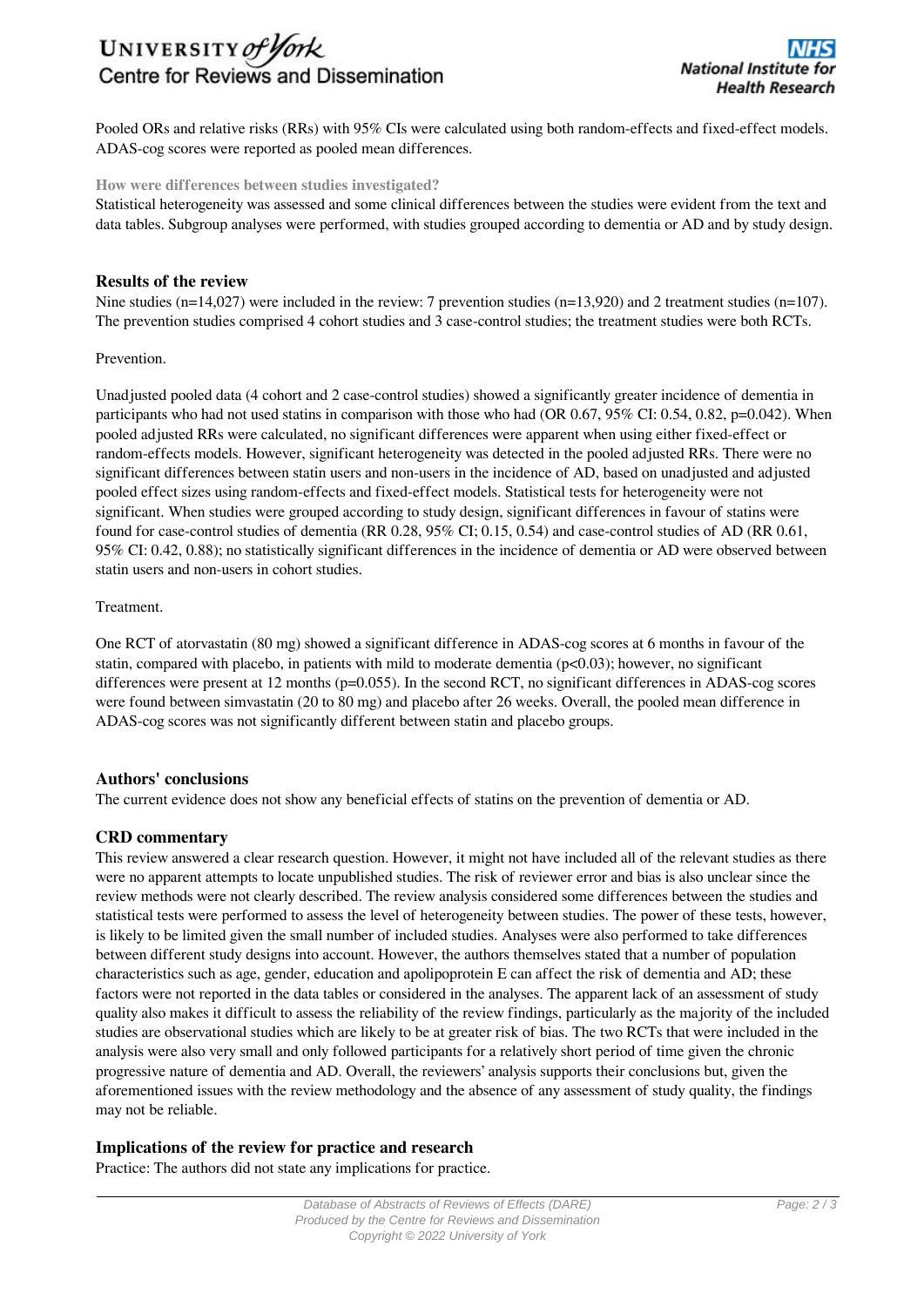# UNIVERSITY of York Centre for Reviews and Dissemination

Pooled ORs and relative risks (RRs) with 95% CIs were calculated using both random-effects and fixed-effect models. ADAS-cog scores were reported as pooled mean differences.

#### **How were differences between studies investigated?**

Statistical heterogeneity was assessed and some clinical differences between the studies were evident from the text and data tables. Subgroup analyses were performed, with studies grouped according to dementia or AD and by study design.

### **Results of the review**

Nine studies (n=14,027) were included in the review: 7 prevention studies (n=13,920) and 2 treatment studies (n=107). The prevention studies comprised 4 cohort studies and 3 case-control studies; the treatment studies were both RCTs.

#### Prevention.

Unadjusted pooled data (4 cohort and 2 case-control studies) showed a significantly greater incidence of dementia in participants who had not used statins in comparison with those who had (OR 0.67, 95% CI: 0.54, 0.82, p=0.042). When pooled adjusted RRs were calculated, no significant differences were apparent when using either fixed-effect or random-effects models. However, significant heterogeneity was detected in the pooled adjusted RRs. There were no significant differences between statin users and non-users in the incidence of AD, based on unadjusted and adjusted pooled effect sizes using random-effects and fixed-effect models. Statistical tests for heterogeneity were not significant. When studies were grouped according to study design, significant differences in favour of statins were found for case-control studies of dementia (RR 0.28, 95% CI; 0.15, 0.54) and case-control studies of AD (RR 0.61, 95% CI: 0.42, 0.88); no statistically significant differences in the incidence of dementia or AD were observed between statin users and non-users in cohort studies.

#### **Treatment**

One RCT of atorvastatin (80 mg) showed a significant difference in ADAS-cog scores at 6 months in favour of the statin, compared with placebo, in patients with mild to moderate dementia  $(p<0.03)$ ; however, no significant differences were present at 12 months (p=0.055). In the second RCT, no significant differences in ADAS-cog scores were found between simvastatin (20 to 80 mg) and placebo after 26 weeks. Overall, the pooled mean difference in ADAS-cog scores was not significantly different between statin and placebo groups.

#### **Authors' conclusions**

The current evidence does not show any beneficial effects of statins on the prevention of dementia or AD.

#### **CRD commentary**

This review answered a clear research question. However, it might not have included all of the relevant studies as there were no apparent attempts to locate unpublished studies. The risk of reviewer error and bias is also unclear since the review methods were not clearly described. The review analysis considered some differences between the studies and statistical tests were performed to assess the level of heterogeneity between studies. The power of these tests, however, is likely to be limited given the small number of included studies. Analyses were also performed to take differences between different study designs into account. However, the authors themselves stated that a number of population characteristics such as age, gender, education and apolipoprotein E can affect the risk of dementia and AD; these factors were not reported in the data tables or considered in the analyses. The apparent lack of an assessment of study quality also makes it difficult to assess the reliability of the review findings, particularly as the majority of the included studies are observational studies which are likely to be at greater risk of bias. The two RCTs that were included in the analysis were also very small and only followed participants for a relatively short period of time given the chronic progressive nature of dementia and AD. Overall, the reviewers' analysis supports their conclusions but, given the aforementioned issues with the review methodology and the absence of any assessment of study quality, the findings may not be reliable.

#### **Implications of the review for practice and research**

Practice: The authors did not state any implications for practice.